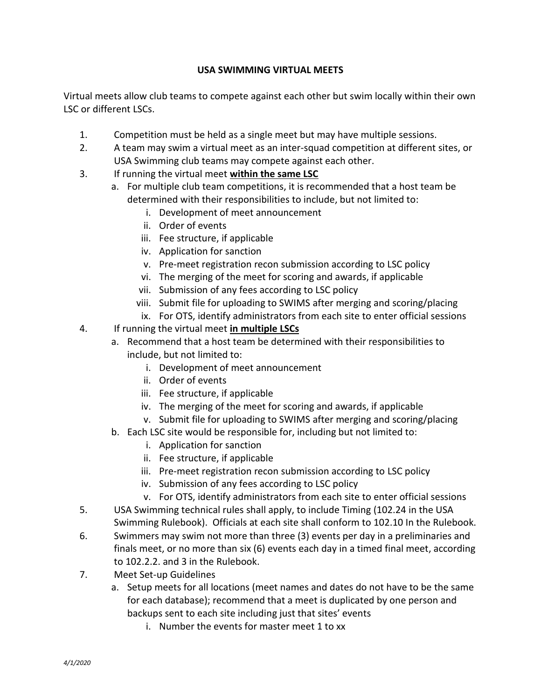## **USA SWIMMING VIRTUAL MEETS**

Virtual meets allow club teams to compete against each other but swim locally within their own LSC or different LSCs.

- 1. Competition must be held as a single meet but may have multiple sessions.
- 2. A team may swim a virtual meet as an inter-squad competition at different sites, or USA Swimming club teams may compete against each other.
- 3. If running the virtual meet **within the same LSC**
	- a. For multiple club team competitions, it is recommended that a host team be determined with their responsibilities to include, but not limited to:
		- i. Development of meet announcement
		- ii. Order of events
		- iii. Fee structure, if applicable
		- iv. Application for sanction
		- v. Pre-meet registration recon submission according to LSC policy
		- vi. The merging of the meet for scoring and awards, if applicable
		- vii. Submission of any fees according to LSC policy
		- viii. Submit file for uploading to SWIMS after merging and scoring/placing
		- ix. For OTS, identify administrators from each site to enter official sessions
- 4. If running the virtual meet **in multiple LSCs**
	- a. Recommend that a host team be determined with their responsibilities to include, but not limited to:
		- i. Development of meet announcement
		- ii. Order of events
		- iii. Fee structure, if applicable
		- iv. The merging of the meet for scoring and awards, if applicable
		- v. Submit file for uploading to SWIMS after merging and scoring/placing
	- b. Each LSC site would be responsible for, including but not limited to:
		- i. Application for sanction
		- ii. Fee structure, if applicable
		- iii. Pre-meet registration recon submission according to LSC policy
		- iv. Submission of any fees according to LSC policy
		- v. For OTS, identify administrators from each site to enter official sessions
- 5. USA Swimming technical rules shall apply, to include Timing (102.24 in the USA Swimming Rulebook). Officials at each site shall conform to 102.10 In the Rulebook.
- 6. Swimmers may swim not more than three (3) events per day in a preliminaries and finals meet, or no more than six (6) events each day in a timed final meet, according to 102.2.2. and 3 in the Rulebook.
- 7. Meet Set-up Guidelines
	- a. Setup meets for all locations (meet names and dates do not have to be the same for each database); recommend that a meet is duplicated by one person and backups sent to each site including just that sites' events
		- i. Number the events for master meet 1 to xx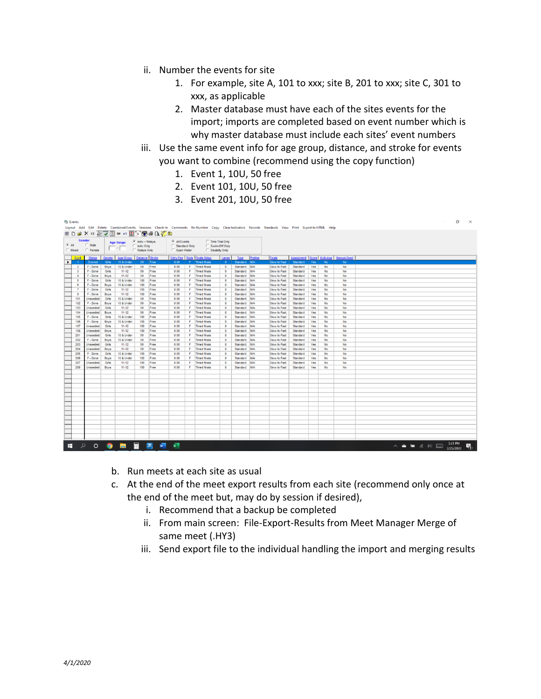- ii. Number the events for site
	- 1. For example, site A, 101 to xxx; site B, 201 to xxx; site C, 301 to xxx, as applicable
	- 2. Master database must have each of the sites events for the import; imports are completed based on event number which is why master database must include each sites' event numbers
- iii. Use the same event info for age group, distance, and stroke for events you want to combine (recommend using the copy function)
	- 1. Event 1, 10U, 50 free
	- 2. Event 101, 10U, 50 free
	- 3. Event 201, 10U, 50 free

|               | <b>Events</b><br>Layout Add Edit Delete Combined Events Sessions Check-In Comments Re-Number Copy ClearIndicators Records Standards View Print ExportioHTML Help |                                |             |                  |                                                           |         |                                                                                                                             |    |                                    |              |              |             |               |          | α          | $\times$  |                                        |                                                                                                                            |                      |   |
|---------------|------------------------------------------------------------------------------------------------------------------------------------------------------------------|--------------------------------|-------------|------------------|-----------------------------------------------------------|---------|-----------------------------------------------------------------------------------------------------------------------------|----|------------------------------------|--------------|--------------|-------------|---------------|----------|------------|-----------|----------------------------------------|----------------------------------------------------------------------------------------------------------------------------|----------------------|---|
|               | HDBX C 2 JUHR H 3 3 3 4 4 5                                                                                                                                      |                                |             |                  |                                                           |         |                                                                                                                             |    |                                    |              |              |             |               |          |            |           |                                        |                                                                                                                            |                      |   |
| $\bullet$ All | Gender<br>Mixed                                                                                                                                                  | $\cap$ Male<br><b>C</b> Female |             | <b>Age Range</b> | $\bullet$ Indiv + Relays<br>C Indiv Only<br>C Relays Only |         | $\bullet$ All Events<br><b>Time Trial Only</b><br>Swim-Off Only<br>Standard Only<br>C Disabilty Only<br><b>C</b> Open Water |    |                                    |              |              |             |               |          |            |           |                                        |                                                                                                                            |                      |   |
|               | Evt #                                                                                                                                                            | <b>Status</b>                  | Gender      | Age Group        | <b>Distance Stroke</b>                                    |         |                                                                                                                             |    | <b>Entry Fee Rnds Finals Setup</b> | Lanes        | Type         | Prelims     | <b>Finals</b> |          |            |           | Assignment Score Multi-Age Manual-Seed |                                                                                                                            |                      |   |
| $\mathbf{r}$  | $^{\circ}$                                                                                                                                                       | Scored                         | Girls       | 10 & Under       | 50                                                        | Free    | 0.00                                                                                                                        |    | <b>Timed finals</b>                | $\mathbf{R}$ | Standard     | <b>IN/A</b> | Slow to Fast  | Standard | Yes        | <b>No</b> | <b>No</b>                              |                                                                                                                            |                      |   |
|               | $\overline{a}$                                                                                                                                                   | F - Done                       | Boys        | 10 & Under       | 50                                                        | Free    | 0.00                                                                                                                        | F. | <b>Timed finals</b>                | 8            | Standard N/A |             | Slow to Fast  | Standard | Yes        | No        | No                                     |                                                                                                                            |                      |   |
|               | $\overline{\mathbf{3}}$                                                                                                                                          | F - Done                       | Girls       | $11 - 12$        | 50                                                        | Free    | 0.00                                                                                                                        | F  | <b>Timed finals</b>                | a.           | Standard N/A |             | Slow to Fast  | Standard | Yes        | No        | No                                     |                                                                                                                            |                      |   |
|               | $\overline{4}$                                                                                                                                                   | F - Done                       | <b>Boys</b> | $11 - 12$        | 50                                                        | Free    | 0.00                                                                                                                        | F. | <b>Timed finals</b>                | 8            | Standard N/A |             | Slow to Fast  | Standard | Yes        | No        | No                                     |                                                                                                                            |                      |   |
|               | S                                                                                                                                                                | F - Done                       | Girls       | 10 & Under       | 100                                                       | Free    | 0.00                                                                                                                        | F. | <b>Timed finals</b>                | 8            | Standard N/A |             | Slow to Fast  | Standard | Yes        | No        | No                                     |                                                                                                                            |                      |   |
|               | $\mathbf{g}$                                                                                                                                                     | F - Done                       | <b>Boys</b> | 10 & Under       | 100                                                       | Free    | 0.00                                                                                                                        |    | F Timed finals                     | 8            | Standard N/A |             | Slow to Fast  | Standard | Yes        | No        | No                                     |                                                                                                                            |                      |   |
|               |                                                                                                                                                                  | F - Done                       | Girls       | $11 - 12$        | 100                                                       | Free    | 0.00                                                                                                                        |    | F Timed finals                     | 8            | Standard N/A |             | Slow to Fast  | Standard | Yes        | No        | No                                     |                                                                                                                            |                      |   |
|               | 8                                                                                                                                                                | F - Done                       | <b>Boys</b> | $11 - 12$        | 100                                                       | Free    | 0.00                                                                                                                        |    | F Timed finals                     | 8            | Standard N/A |             | Slow to Fast  | Standard | Yes        | No        | No                                     |                                                                                                                            |                      |   |
|               | 101                                                                                                                                                              | Unseeded                       | Girls       | 10 & Under       | 50                                                        | Free    | 0.00                                                                                                                        | F. | <b>Timed finals</b>                | 8            | Standard N/A |             | Slow to Fast  | Standard | Yes        | No        | No                                     |                                                                                                                            |                      |   |
|               | 102                                                                                                                                                              | F - Done                       | <b>Boys</b> | 10 & Under       | 50                                                        | Free    | 0.00                                                                                                                        | F. | <b>Timed finals</b>                | 8            | Standard N/A |             | Slow to Fast  | Standard | Yes        | No        | No                                     |                                                                                                                            |                      |   |
|               | 103                                                                                                                                                              | Unseeded                       | Girls       | $11 - 12$        | 50                                                        | Free    | 0.00                                                                                                                        | F  | <b>Timed finals</b>                | 8            | Standard N/A |             | Slow to Fast  | Standard | Yes        | No        | No                                     |                                                                                                                            |                      |   |
|               | 104                                                                                                                                                              | Unseeded                       | <b>Boys</b> | $11 - 12$        | 50                                                        | Free    | 0.00                                                                                                                        | F. | <b>Timed finals</b>                | 8            | Standard N/A |             | Slow to Fast  | Standard | <b>Yes</b> | No        | No                                     |                                                                                                                            |                      |   |
|               | 105                                                                                                                                                              | F - Done                       | Girls       | 10 & Under       | 100                                                       | Free    | 0.00                                                                                                                        | F. | <b>Timed finals</b>                | 8            | Standard N/A |             | Slow to Fast  | Standard | Yes        | No        | No                                     |                                                                                                                            |                      |   |
|               | 106                                                                                                                                                              | F - Done                       | <b>Boys</b> | 10 & Under       | 100                                                       | Free    | 0.00                                                                                                                        | F  | <b>Timed finals</b>                | 8            | Standard N/A |             | Slow to Fast  | Standard | Yes        | No        | No                                     |                                                                                                                            |                      |   |
|               | 107                                                                                                                                                              | Unseeded                       | Girls       | $11 - 12$        | 100                                                       | Free    | 0.00                                                                                                                        | F. | <b>Timed finals</b>                | 8            | Standard N/A |             | Slow to Fast  | Standard | Yes        | No        | No                                     |                                                                                                                            |                      |   |
|               | 108                                                                                                                                                              | Unseeded                       | <b>Boys</b> | $11 - 12$        | 100                                                       | Free    | 0.00                                                                                                                        | F  | <b>Timed finals</b>                | 8            | Standard N/A |             | Slow to Fast  | Standard | Yes        | No        | No                                     |                                                                                                                            |                      |   |
|               | 201                                                                                                                                                              | Unseeded                       | Girls       | 10 & Under       | 50                                                        | Free    | 0.00                                                                                                                        |    | F Timed finals                     | 8            | Standard N/A |             | Slow to Fast  | Standard | Yes        | No        | No                                     |                                                                                                                            |                      |   |
|               | 202                                                                                                                                                              | F - Done                       | <b>Boys</b> | 10 & Under       | 50                                                        | Free    | 0.00                                                                                                                        | F. | <b>Timed finals</b>                | 8            | Standard N/A |             | Slow to Fast  | Standard | Yes        | No        | No                                     |                                                                                                                            |                      |   |
|               | 203                                                                                                                                                              | Unseeded                       | Girls       | $11 - 12$        | 50                                                        | Free    | 0.00                                                                                                                        |    | F Timed finals                     | 8            | Standard N/A |             | Slow to Fast  | Standard | Yes        | No        | No                                     |                                                                                                                            |                      |   |
|               | 204                                                                                                                                                              | Unseeded                       | <b>Boys</b> | $11 - 12$        | 50                                                        | Free    | 0.00                                                                                                                        | F. | <b>Timed finals</b>                | 8            | Standard N/A |             | Slow to Fast  | Standard | Yes        | No        | No                                     |                                                                                                                            |                      |   |
|               | 205                                                                                                                                                              | F - Done                       | Girls       | 10 & Under       | 100                                                       | Free    | 0.00                                                                                                                        | F. | <b>Timed finals</b>                | 8            | Standard N/A |             | Slow to Fast  | Standard | Yes        | No        | No                                     |                                                                                                                            |                      |   |
|               | 206                                                                                                                                                              | F - Done                       | <b>Boys</b> | 10 & Under       | 100                                                       | Free    | 0.00                                                                                                                        | F. | <b>Timed finals</b>                | 8            | Standard N/A |             | Slow to Fast  | Standard | Yes        | No        | No                                     |                                                                                                                            |                      |   |
|               | 207                                                                                                                                                              | Unseeded                       | Girls       | $11 - 12$        | 100                                                       | Free    | 0.00                                                                                                                        | F  | <b>Timed finals</b>                | <b>R</b>     | Standard N/A |             | Slow to Fast  | Standard | Yes        | No        | No                                     |                                                                                                                            |                      |   |
|               | 208                                                                                                                                                              | Unseeded                       | <b>Boys</b> | $11 - 12$        | 100                                                       | Free    | 0.00                                                                                                                        | F  | <b>Timed finals</b>                | 8            | Standard N/A |             | Slow to Fast  | Standard | Yes        | No        | No                                     |                                                                                                                            |                      |   |
|               |                                                                                                                                                                  |                                |             |                  |                                                           |         |                                                                                                                             |    |                                    |              |              |             |               |          |            |           |                                        |                                                                                                                            |                      |   |
|               |                                                                                                                                                                  |                                |             |                  |                                                           |         |                                                                                                                             |    |                                    |              |              |             |               |          |            |           |                                        |                                                                                                                            |                      |   |
|               |                                                                                                                                                                  |                                |             |                  |                                                           |         |                                                                                                                             |    |                                    |              |              |             |               |          |            |           |                                        |                                                                                                                            |                      |   |
|               |                                                                                                                                                                  |                                |             |                  |                                                           |         |                                                                                                                             |    |                                    |              |              |             |               |          |            |           |                                        |                                                                                                                            |                      |   |
|               |                                                                                                                                                                  |                                |             |                  |                                                           |         |                                                                                                                             |    |                                    |              |              |             |               |          |            |           |                                        |                                                                                                                            |                      |   |
|               |                                                                                                                                                                  |                                |             |                  |                                                           |         |                                                                                                                             |    |                                    |              |              |             |               |          |            |           |                                        |                                                                                                                            |                      |   |
|               |                                                                                                                                                                  |                                |             |                  |                                                           |         |                                                                                                                             |    |                                    |              |              |             |               |          |            |           |                                        |                                                                                                                            |                      |   |
|               |                                                                                                                                                                  |                                |             |                  |                                                           |         |                                                                                                                             |    |                                    |              |              |             |               |          |            |           |                                        |                                                                                                                            |                      |   |
|               |                                                                                                                                                                  |                                |             |                  |                                                           |         |                                                                                                                             |    |                                    |              |              |             |               |          |            |           |                                        |                                                                                                                            |                      |   |
|               |                                                                                                                                                                  |                                |             |                  |                                                           |         |                                                                                                                             |    |                                    |              |              |             |               |          |            |           |                                        |                                                                                                                            |                      |   |
|               |                                                                                                                                                                  |                                |             |                  |                                                           |         |                                                                                                                             |    |                                    |              |              |             |               |          |            |           |                                        |                                                                                                                            |                      |   |
|               |                                                                                                                                                                  |                                |             |                  |                                                           |         |                                                                                                                             |    |                                    |              |              |             |               |          |            |           |                                        |                                                                                                                            |                      |   |
|               |                                                                                                                                                                  |                                |             |                  |                                                           |         |                                                                                                                             |    |                                    |              |              |             |               |          |            |           |                                        |                                                                                                                            |                      |   |
|               |                                                                                                                                                                  |                                |             |                  |                                                           |         |                                                                                                                             |    |                                    |              |              |             |               |          |            |           |                                        |                                                                                                                            |                      |   |
|               |                                                                                                                                                                  |                                |             |                  |                                                           |         |                                                                                                                             |    |                                    |              |              |             |               |          |            |           |                                        |                                                                                                                            |                      |   |
| н             | $\bullet$                                                                                                                                                        | $\circ$                        |             | $9 - 17$         | 圛                                                         | 图 W 图 图 |                                                                                                                             |    |                                    |              |              |             |               |          |            |           |                                        | $\wedge\;\;\spadesuit\;\;\sqsubseteq\;\;\lbrack\;\;\lbrack\;\;\cdots\;\;\rbrack\;\;\cdots\;\;\rbrack\;\;\cdots\;\;\rbrack$ | 5:21 PM<br>3/25/2020 | 喃 |

- b. Run meets at each site as usual
- c. At the end of the meet export results from each site (recommend only once at the end of the meet but, may do by session if desired),
	- i. Recommend that a backup be completed
	- ii. From main screen: File-Export-Results from Meet Manager Merge of same meet (.HY3)
	- iii. Send export file to the individual handling the import and merging results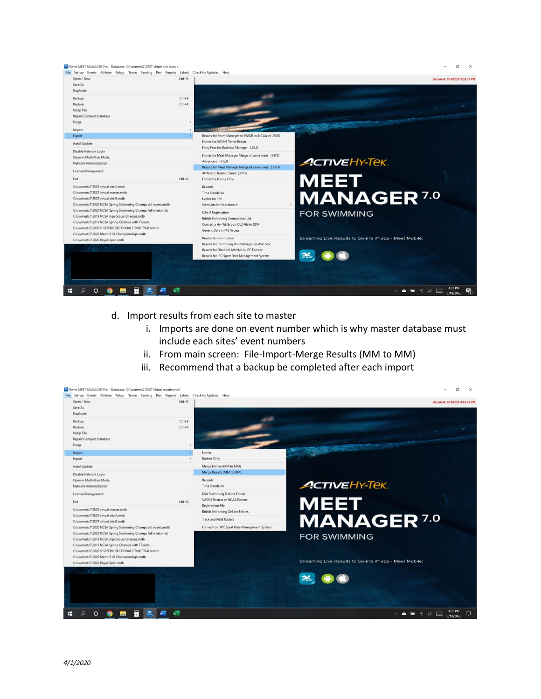

- d. Import results from each site to master
	- i. Imports are done on event number which is why master database must include each sites' event numbers
	- ii. From main screen: File-Import-Merge Results (MM to MM)
	- iii. Recommend that a backup be completed after each import